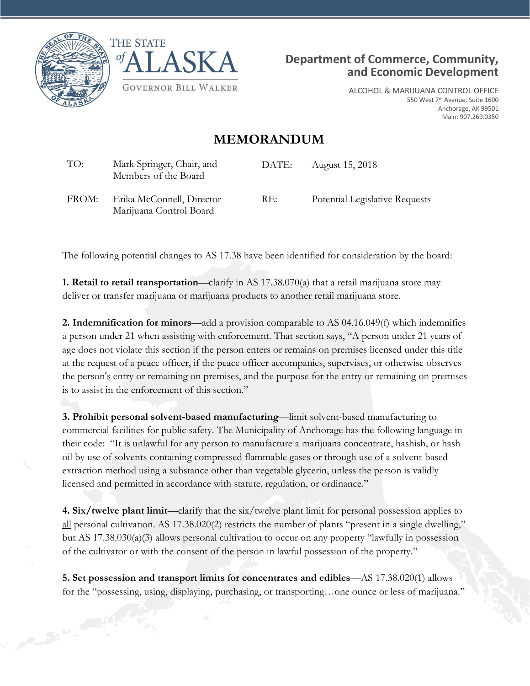





ALCOHOL & MARIJUANA CONTROL OFFICE 550 West 7<sup>th</sup> Avenue, Suite 1600 Anchorage, AK 99501 Main: 907.269.0350

## **MEMORANDUM**

| TO:   | Mark Springer, Chair, and<br>Members of the Board    | DATE: | August 15, 2018                |
|-------|------------------------------------------------------|-------|--------------------------------|
| FROM: | Erika McConnell, Director<br>Marijuana Control Board | RE:   | Potential Legislative Requests |

The following potential changes to AS 17.38 have been identified for consideration by the board:

**1. Retail to retail transportation**—clarify in AS 17.38.070(a) that a retail marijuana store may deliver or transfer marijuana or marijuana products to another retail marijuana store.

**2. Indemnification for minors**—add a provision comparable to AS 04.16.049(f) which indemnifies a person under 21 when assisting with enforcement. That section says, "A person under 21 years of age does not violate this section if the person enters or remains on premises licensed under this title at the request of a peace officer, if the peace officer accompanies, supervises, or otherwise observes the person's entry or remaining on premises, and the purpose for the entry or remaining on premises is to assist in the enforcement of this section."

**3. Prohibit personal solvent-based manufacturing**—limit solvent-based manufacturing to commercial facilities for public safety. The Municipality of Anchorage has the following language in their code: "It is unlawful for any person to manufacture a marijuana concentrate, hashish, or hash oil by use of solvents containing compressed flammable gases or through use of a solvent-based extraction method using a substance other than vegetable glycerin, unless the person is validly licensed and permitted in accordance with statute, regulation, or ordinance."

**4. Six/twelve plant limit**—clarify that the six/twelve plant limit for personal possession applies to all personal cultivation. AS 17.38.020(2) restricts the number of plants "present in a single dwelling," but AS 17.38.030(a)(3) allows personal cultivation to occur on any property "lawfully in possession of the cultivator or with the consent of the person in lawful possession of the property."

**5. Set possession and transport limits for concentrates and edibles**—AS 17.38.020(1) allows for the "possessing, using, displaying, purchasing, or transporting…one ounce or less of marijuana."